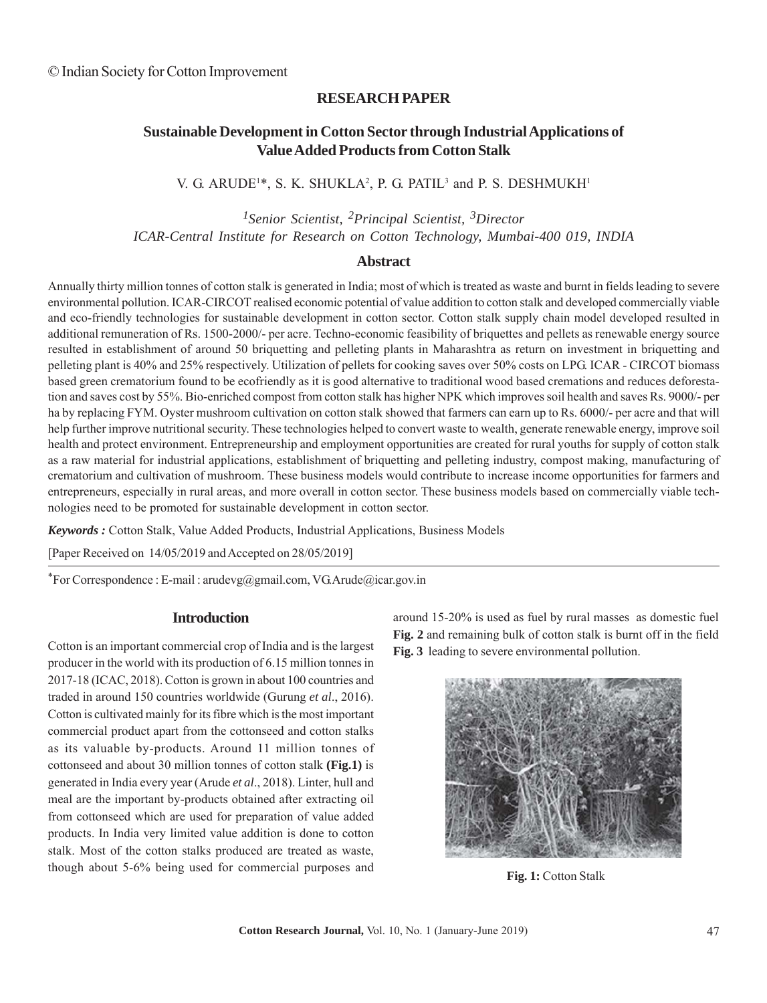### **RESEARCH PAPER**

## **Sustainable Development in Cotton Sector through Industrial Applications of Value Added Products from Cotton Stalk**

### V. G. ARUDE<sup>1\*</sup>, S. K. SHUKLA<sup>2</sup>, P. G. PATIL<sup>3</sup> and P. S. DESHMUKH<sup>1</sup>

# *1Senior Scientist, 2Principal Scientist, 3Director ICAR-Central Institute for Research on Cotton Technology, Mumbai-400 019, INDIA*

#### **Abstract**

Annually thirty million tonnes of cotton stalk is generated in India; most of which is treated as waste and burnt in fields leading to severe environmental pollution. ICAR-CIRCOT realised economic potential of value addition to cotton stalk and developed commercially viable and eco-friendly technologies for sustainable development in cotton sector. Cotton stalk supply chain model developed resulted in additional remuneration of Rs. 1500-2000/- per acre. Techno-economic feasibility of briquettes and pellets as renewable energy source resulted in establishment of around 50 briquetting and pelleting plants in Maharashtra as return on investment in briquetting and pelleting plant is 40% and 25% respectively. Utilization of pellets for cooking saves over 50% costs on LPG. ICAR - CIRCOT biomass based green crematorium found to be ecofriendly as it is good alternative to traditional wood based cremations and reduces deforestation and saves cost by 55%. Bio-enriched compost from cotton stalk has higher NPK which improves soil health and saves Rs. 9000/- per ha by replacing FYM. Oyster mushroom cultivation on cotton stalk showed that farmers can earn up to Rs. 6000/- per acre and that will help further improve nutritional security. These technologies helped to convert waste to wealth, generate renewable energy, improve soil health and protect environment. Entrepreneurship and employment opportunities are created for rural youths for supply of cotton stalk as a raw material for industrial applications, establishment of briquetting and pelleting industry, compost making, manufacturing of crematorium and cultivation of mushroom. These business models would contribute to increase income opportunities for farmers and entrepreneurs, especially in rural areas, and more overall in cotton sector. These business models based on commercially viable technologies need to be promoted for sustainable development in cotton sector.

*Keywords :* Cotton Stalk, Value Added Products, Industrial Applications, Business Models

[Paper Received on 14/05/2019 and Accepted on 28/05/2019]

\*For Correspondence : E-mail : arudevg@gmail.com, VG.Arude@icar.gov.in

#### **Introduction**

Cotton is an important commercial crop of India and is the largest producer in the world with its production of 6.15 million tonnes in 2017-18 (ICAC, 2018). Cotton is grown in about 100 countries and traded in around 150 countries worldwide (Gurung *et al*., 2016). Cotton is cultivated mainly for its fibre which is the most important commercial product apart from the cottonseed and cotton stalks as its valuable by-products. Around 11 million tonnes of cottonseed and about 30 million tonnes of cotton stalk **(Fig.1)** is generated in India every year (Arude *et al*., 2018). Linter, hull and meal are the important by-products obtained after extracting oil from cottonseed which are used for preparation of value added products. In India very limited value addition is done to cotton stalk. Most of the cotton stalks produced are treated as waste, though about 5-6% being used for commercial purposes and around 15-20% is used as fuel by rural masses as domestic fuel **Fig. 2** and remaining bulk of cotton stalk is burnt off in the field **Fig. 3** leading to severe environmental pollution.



**Fig. 1:** Cotton Stalk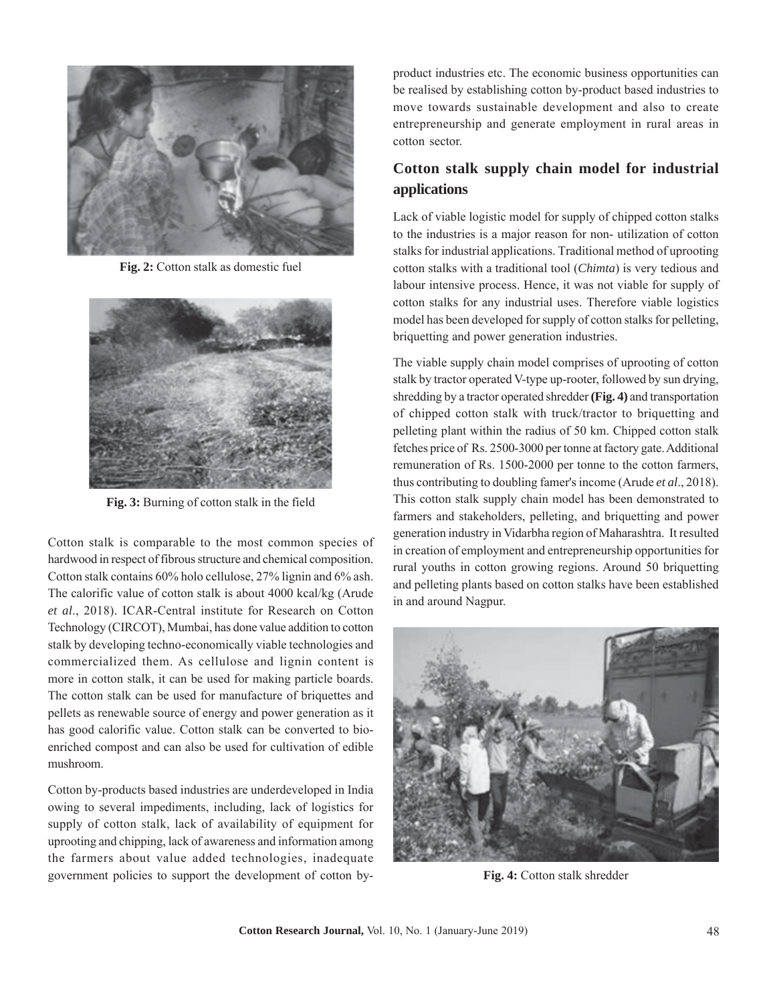

**Fig. 2:** Cotton stalk as domestic fuel



**Fig. 3:** Burning of cotton stalk in the field

Cotton stalk is comparable to the most common species of hardwood in respect of fibrous structure and chemical composition. Cotton stalk contains 60% holo cellulose, 27% lignin and 6% ash. The calorific value of cotton stalk is about 4000 kcal/kg (Arude *et al*., 2018). ICAR-Central institute for Research on Cotton Technology (CIRCOT), Mumbai, has done value addition to cotton stalk by developing techno-economically viable technologies and commercialized them. As cellulose and lignin content is more in cotton stalk, it can be used for making particle boards. The cotton stalk can be used for manufacture of briquettes and pellets as renewable source of energy and power generation as it has good calorific value. Cotton stalk can be converted to bioenriched compost and can also be used for cultivation of edible mushroom.

Cotton by-products based industries are underdeveloped in India owing to several impediments, including, lack of logistics for supply of cotton stalk, lack of availability of equipment for uprooting and chipping, lack of awareness and information among the farmers about value added technologies, inadequate government policies to support the development of cotton byproduct industries etc. The economic business opportunities can be realised by establishing cotton by-product based industries to move towards sustainable development and also to create entrepreneurship and generate employment in rural areas in cotton sector.

# **Cotton stalk supply chain model for industrial applications**

Lack of viable logistic model for supply of chipped cotton stalks to the industries is a major reason for non- utilization of cotton stalks for industrial applications. Traditional method of uprooting cotton stalks with a traditional tool (*Chimta*) is very tedious and labour intensive process. Hence, it was not viable for supply of cotton stalks for any industrial uses. Therefore viable logistics model has been developed for supply of cotton stalks for pelleting, briquetting and power generation industries.

The viable supply chain model comprises of uprooting of cotton stalk by tractor operated V-type up-rooter, followed by sun drying, shredding by a tractor operated shredder **(Fig. 4)** and transportation of chipped cotton stalk with truck/tractor to briquetting and pelleting plant within the radius of 50 km. Chipped cotton stalk fetches price of Rs. 2500-3000 per tonne at factory gate. Additional remuneration of Rs. 1500-2000 per tonne to the cotton farmers, thus contributing to doubling famer's income (Arude *et al*., 2018). This cotton stalk supply chain model has been demonstrated to farmers and stakeholders, pelleting, and briquetting and power generation industry in Vidarbha region of Maharashtra. It resulted in creation of employment and entrepreneurship opportunities for rural youths in cotton growing regions. Around 50 briquetting and pelleting plants based on cotton stalks have been established in and around Nagpur.



**Fig. 4:** Cotton stalk shredder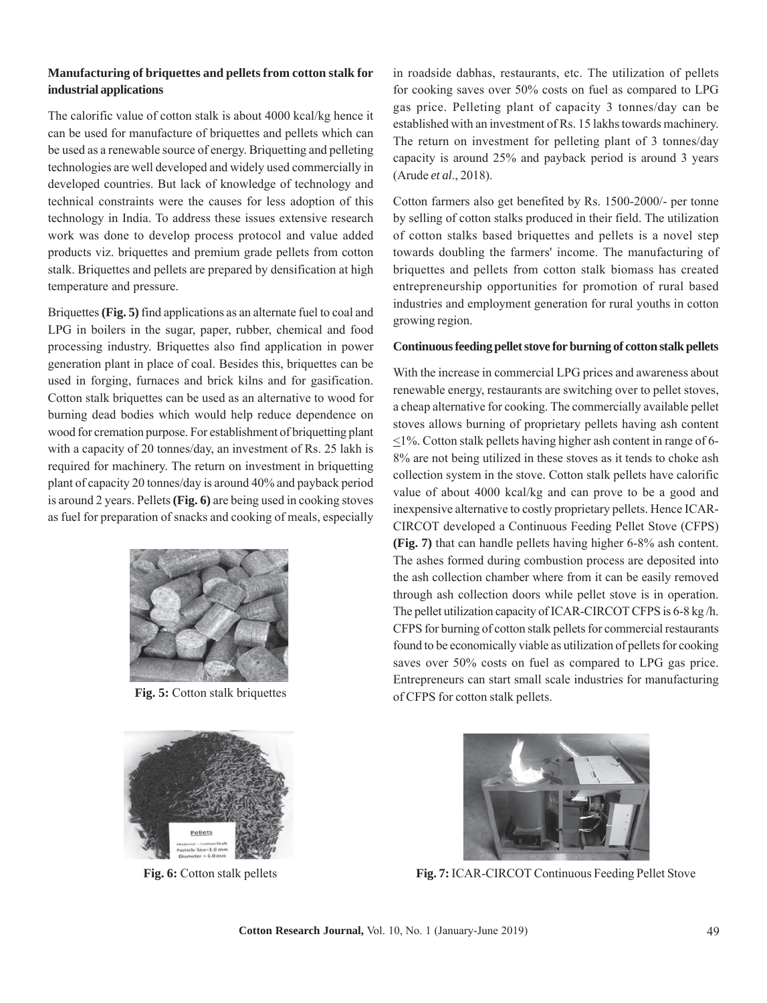### **Manufacturing of briquettes and pellets from cotton stalk for industrial applications**

The calorific value of cotton stalk is about 4000 kcal/kg hence it can be used for manufacture of briquettes and pellets which can be used as a renewable source of energy. Briquetting and pelleting technologies are well developed and widely used commercially in developed countries. But lack of knowledge of technology and technical constraints were the causes for less adoption of this technology in India. To address these issues extensive research work was done to develop process protocol and value added products viz. briquettes and premium grade pellets from cotton stalk. Briquettes and pellets are prepared by densification at high temperature and pressure.

Briquettes **(Fig. 5)** find applications as an alternate fuel to coal and LPG in boilers in the sugar, paper, rubber, chemical and food processing industry. Briquettes also find application in power generation plant in place of coal. Besides this, briquettes can be used in forging, furnaces and brick kilns and for gasification. Cotton stalk briquettes can be used as an alternative to wood for burning dead bodies which would help reduce dependence on wood for cremation purpose. For establishment of briquetting plant with a capacity of 20 tonnes/day, an investment of Rs. 25 lakh is required for machinery. The return on investment in briquetting plant of capacity 20 tonnes/day is around 40% and payback period is around 2 years. Pellets **(Fig. 6)** are being used in cooking stoves as fuel for preparation of snacks and cooking of meals, especially



**Fig. 5:** Cotton stalk briquettes



in roadside dabhas, restaurants, etc. The utilization of pellets for cooking saves over 50% costs on fuel as compared to LPG gas price. Pelleting plant of capacity 3 tonnes/day can be established with an investment of Rs. 15 lakhs towards machinery. The return on investment for pelleting plant of 3 tonnes/day capacity is around 25% and payback period is around 3 years (Arude *et al*., 2018).

Cotton farmers also get benefited by Rs. 1500-2000/- per tonne by selling of cotton stalks produced in their field. The utilization of cotton stalks based briquettes and pellets is a novel step towards doubling the farmers' income. The manufacturing of briquettes and pellets from cotton stalk biomass has created entrepreneurship opportunities for promotion of rural based industries and employment generation for rural youths in cotton growing region.

#### **Continuous feeding pellet stove for burning of cotton stalk pellets**

With the increase in commercial LPG prices and awareness about renewable energy, restaurants are switching over to pellet stoves, a cheap alternative for cooking. The commercially available pellet stoves allows burning of proprietary pellets having ash content  $\leq$ 1%. Cotton stalk pellets having higher ash content in range of 6-8% are not being utilized in these stoves as it tends to choke ash collection system in the stove. Cotton stalk pellets have calorific value of about 4000 kcal/kg and can prove to be a good and inexpensive alternative to costly proprietary pellets. Hence ICAR-CIRCOT developed a Continuous Feeding Pellet Stove (CFPS) **(Fig. 7)** that can handle pellets having higher 6-8% ash content. The ashes formed during combustion process are deposited into the ash collection chamber where from it can be easily removed through ash collection doors while pellet stove is in operation. The pellet utilization capacity of ICAR-CIRCOT CFPS is 6-8 kg /h. CFPS for burning of cotton stalk pellets for commercial restaurants found to be economically viable as utilization of pellets for cooking saves over 50% costs on fuel as compared to LPG gas price. Entrepreneurs can start small scale industries for manufacturing of CFPS for cotton stalk pellets.



**Fig. 6:** Cotton stalk pellets **Fig. 7:** ICAR-CIRCOT Continuous Feeding Pellet Stove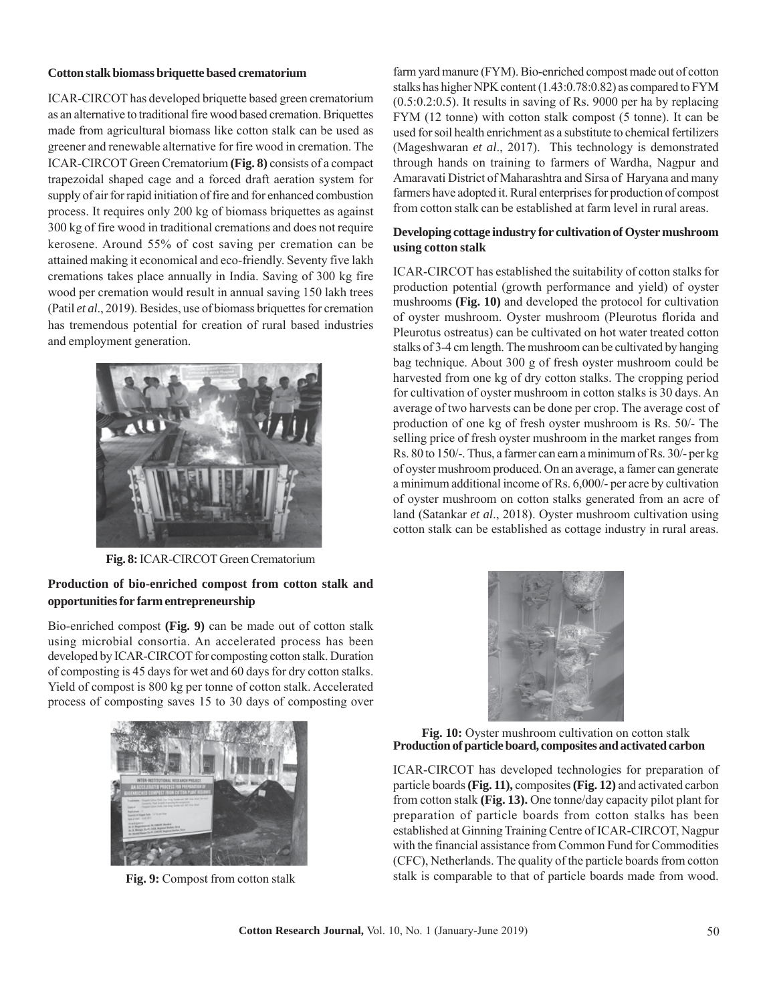#### **Cotton stalk biomass briquette based crematorium**

ICAR-CIRCOT has developed briquette based green crematorium as an alternative to traditional fire wood based cremation. Briquettes made from agricultural biomass like cotton stalk can be used as greener and renewable alternative for fire wood in cremation. The ICAR-CIRCOT Green Crematorium **(Fig. 8)** consists of a compact trapezoidal shaped cage and a forced draft aeration system for supply of air for rapid initiation of fire and for enhanced combustion process. It requires only 200 kg of biomass briquettes as against 300 kg of fire wood in traditional cremations and does not require kerosene. Around 55% of cost saving per cremation can be attained making it economical and eco-friendly. Seventy five lakh cremations takes place annually in India. Saving of 300 kg fire wood per cremation would result in annual saving 150 lakh trees (Patil *et al*., 2019). Besides, use of biomass briquettes for cremation has tremendous potential for creation of rural based industries and employment generation.



**Fig. 8:** ICAR-CIRCOT Green Crematorium

### **Production of bio-enriched compost from cotton stalk and opportunities for farm entrepreneurship**

Bio-enriched compost **(Fig. 9)** can be made out of cotton stalk using microbial consortia. An accelerated process has been developed by ICAR-CIRCOT for composting cotton stalk. Duration of composting is 45 days for wet and 60 days for dry cotton stalks. Yield of compost is 800 kg per tonne of cotton stalk. Accelerated process of composting saves 15 to 30 days of composting over



**Fig. 9:** Compost from cotton stalk

farm yard manure (FYM). Bio-enriched compost made out of cotton stalks has higher NPK content (1.43:0.78:0.82) as compared to FYM (0.5:0.2:0.5). It results in saving of Rs. 9000 per ha by replacing FYM (12 tonne) with cotton stalk compost (5 tonne). It can be used for soil health enrichment as a substitute to chemical fertilizers (Mageshwaran *et al*., 2017). This technology is demonstrated through hands on training to farmers of Wardha, Nagpur and Amaravati District of Maharashtra and Sirsa of Haryana and many farmers have adopted it. Rural enterprises for production of compost from cotton stalk can be established at farm level in rural areas.

#### **Developing cottage industry for cultivation of Oyster mushroom using cotton stalk**

ICAR-CIRCOT has established the suitability of cotton stalks for production potential (growth performance and yield) of oyster mushrooms **(Fig. 10)** and developed the protocol for cultivation of oyster mushroom. Oyster mushroom (Pleurotus florida and Pleurotus ostreatus) can be cultivated on hot water treated cotton stalks of 3-4 cm length. The mushroom can be cultivated by hanging bag technique. About 300 g of fresh oyster mushroom could be harvested from one kg of dry cotton stalks. The cropping period for cultivation of oyster mushroom in cotton stalks is 30 days. An average of two harvests can be done per crop. The average cost of production of one kg of fresh oyster mushroom is Rs. 50/- The selling price of fresh oyster mushroom in the market ranges from Rs. 80 to 150/-. Thus, a farmer can earn a minimum of Rs. 30/- per kg of oyster mushroom produced. On an average, a famer can generate a minimum additional income of Rs. 6,000/- per acre by cultivation of oyster mushroom on cotton stalks generated from an acre of land (Satankar *et al*., 2018). Oyster mushroom cultivation using cotton stalk can be established as cottage industry in rural areas.



**Production of particle board, composites and activated carbon Fig. 10:** Oyster mushroom cultivation on cotton stalk

ICAR-CIRCOT has developed technologies for preparation of particle boards **(Fig. 11),** composites **(Fig. 12)** and activated carbon from cotton stalk **(Fig. 13).** One tonne/day capacity pilot plant for preparation of particle boards from cotton stalks has been established at Ginning Training Centre of ICAR-CIRCOT, Nagpur with the financial assistance from Common Fund for Commodities (CFC), Netherlands. The quality of the particle boards from cotton stalk is comparable to that of particle boards made from wood.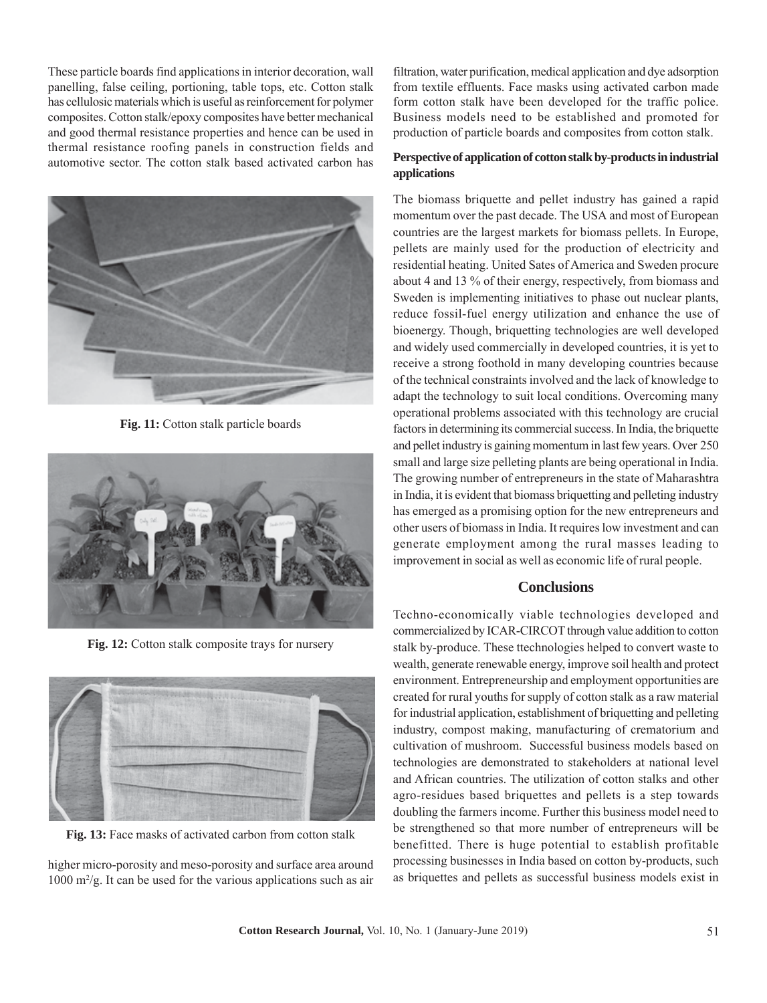These particle boards find applications in interior decoration, wall panelling, false ceiling, portioning, table tops, etc. Cotton stalk has cellulosic materials which is useful as reinforcement for polymer composites. Cotton stalk/epoxy composites have better mechanical and good thermal resistance properties and hence can be used in thermal resistance roofing panels in construction fields and automotive sector. The cotton stalk based activated carbon has



**Fig. 11:** Cotton stalk particle boards



**Fig. 12:** Cotton stalk composite trays for nursery



**Fig. 13:** Face masks of activated carbon from cotton stalk

higher micro-porosity and meso-porosity and surface area around  $1000 \text{ m}^2/\text{g}$ . It can be used for the various applications such as air

filtration, water purification, medical application and dye adsorption from textile effluents. Face masks using activated carbon made form cotton stalk have been developed for the traffic police. Business models need to be established and promoted for production of particle boards and composites from cotton stalk.

### **Perspective of application of cotton stalk by-products in industrial applications**

The biomass briquette and pellet industry has gained a rapid momentum over the past decade. The USA and most of European countries are the largest markets for biomass pellets. In Europe, pellets are mainly used for the production of electricity and residential heating. United Sates of America and Sweden procure about 4 and 13 % of their energy, respectively, from biomass and Sweden is implementing initiatives to phase out nuclear plants, reduce fossil-fuel energy utilization and enhance the use of bioenergy. Though, briquetting technologies are well developed and widely used commercially in developed countries, it is yet to receive a strong foothold in many developing countries because of the technical constraints involved and the lack of knowledge to adapt the technology to suit local conditions. Overcoming many operational problems associated with this technology are crucial factors in determining its commercial success. In India, the briquette and pellet industry is gaining momentum in last few years. Over 250 small and large size pelleting plants are being operational in India. The growing number of entrepreneurs in the state of Maharashtra in India, it is evident that biomass briquetting and pelleting industry has emerged as a promising option for the new entrepreneurs and other users of biomass in India. It requires low investment and can generate employment among the rural masses leading to improvement in social as well as economic life of rural people.

### **Conclusions**

Techno-economically viable technologies developed and commercialized by ICAR-CIRCOT through value addition to cotton stalk by-produce. These ttechnologies helped to convert waste to wealth, generate renewable energy, improve soil health and protect environment. Entrepreneurship and employment opportunities are created for rural youths for supply of cotton stalk as a raw material for industrial application, establishment of briquetting and pelleting industry, compost making, manufacturing of crematorium and cultivation of mushroom. Successful business models based on technologies are demonstrated to stakeholders at national level and African countries. The utilization of cotton stalks and other agro-residues based briquettes and pellets is a step towards doubling the farmers income. Further this business model need to be strengthened so that more number of entrepreneurs will be benefitted. There is huge potential to establish profitable processing businesses in India based on cotton by-products, such as briquettes and pellets as successful business models exist in